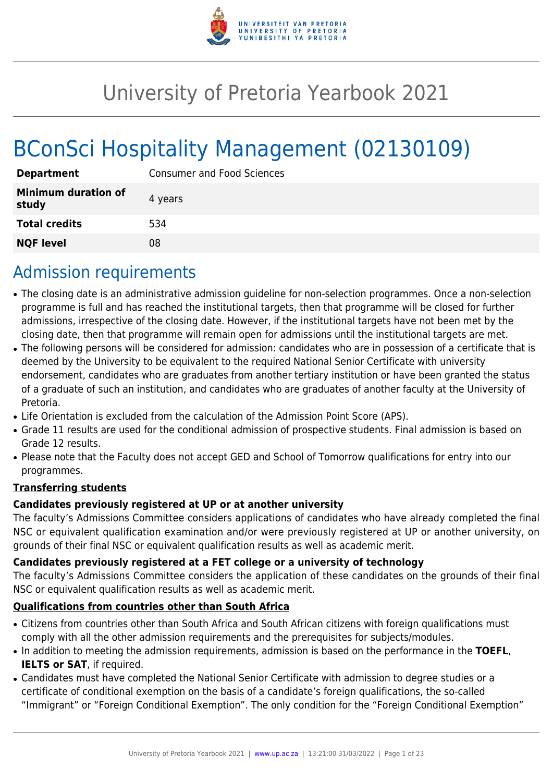

# University of Pretoria Yearbook 2021

# BConSci Hospitality Management (02130109)

| <b>Department</b>                   | <b>Consumer and Food Sciences</b> |
|-------------------------------------|-----------------------------------|
| <b>Minimum duration of</b><br>study | 4 years                           |
| <b>Total credits</b>                | 534                               |
| <b>NQF level</b>                    | 08                                |

## Admission requirements

- The closing date is an administrative admission guideline for non-selection programmes. Once a non-selection programme is full and has reached the institutional targets, then that programme will be closed for further admissions, irrespective of the closing date. However, if the institutional targets have not been met by the closing date, then that programme will remain open for admissions until the institutional targets are met.
- The following persons will be considered for admission: candidates who are in possession of a certificate that is deemed by the University to be equivalent to the required National Senior Certificate with university endorsement, candidates who are graduates from another tertiary institution or have been granted the status of a graduate of such an institution, and candidates who are graduates of another faculty at the University of Pretoria.
- Life Orientation is excluded from the calculation of the Admission Point Score (APS).
- Grade 11 results are used for the conditional admission of prospective students. Final admission is based on Grade 12 results.
- Please note that the Faculty does not accept GED and School of Tomorrow qualifications for entry into our programmes.

## **Transferring students**

## **Candidates previously registered at UP or at another university**

The faculty's Admissions Committee considers applications of candidates who have already completed the final NSC or equivalent qualification examination and/or were previously registered at UP or another university, on grounds of their final NSC or equivalent qualification results as well as academic merit.

## **Candidates previously registered at a FET college or a university of technology**

The faculty's Admissions Committee considers the application of these candidates on the grounds of their final NSC or equivalent qualification results as well as academic merit.

## **Qualifications from countries other than South Africa**

- Citizens from countries other than South Africa and South African citizens with foreign qualifications must comply with all the other admission requirements and the prerequisites for subjects/modules.
- In addition to meeting the admission requirements, admission is based on the performance in the **TOEFL**, **IELTS or SAT**, if required.
- Candidates must have completed the National Senior Certificate with admission to degree studies or a certificate of conditional exemption on the basis of a candidate's foreign qualifications, the so-called "Immigrant" or "Foreign Conditional Exemption". The only condition for the "Foreign Conditional Exemption"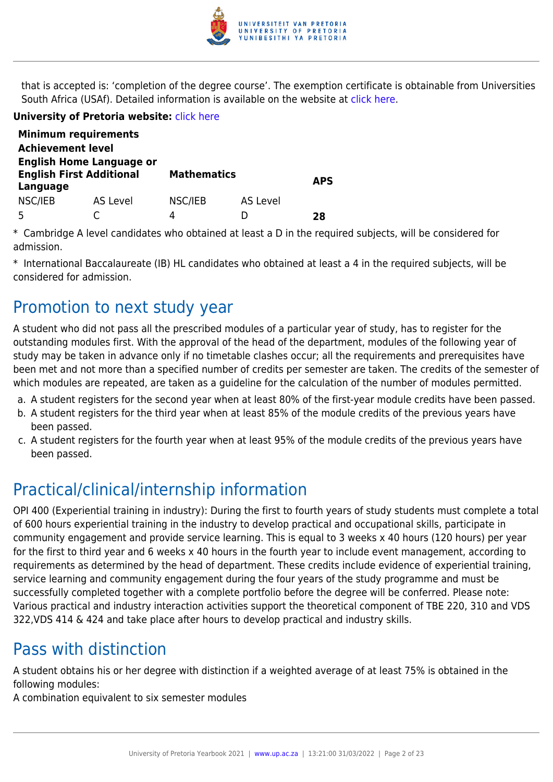

that is accepted is: 'completion of the degree course'. The exemption certificate is obtainable from Universities South Africa (USAf). Detailed information is available on the website at [click here.](http://mb.usaf.ac.za)

### **University of Pretoria website:** [click here](http://www.up.ac.za/nas)

|                                                                                | <b>Minimum requirements</b> |                    |          |            |
|--------------------------------------------------------------------------------|-----------------------------|--------------------|----------|------------|
| <b>Achievement level</b>                                                       |                             |                    |          |            |
| <b>English Home Language or</b><br><b>English First Additional</b><br>Language |                             | <b>Mathematics</b> |          | <b>APS</b> |
| NSC/IEB                                                                        | AS Level                    | NSC/IEB<br>л       | AS Level |            |
|                                                                                |                             |                    |          | 28         |

\* Cambridge A level candidates who obtained at least a D in the required subjects, will be considered for admission.

\* International Baccalaureate (IB) HL candidates who obtained at least a 4 in the required subjects, will be considered for admission.

## Promotion to next study year

A student who did not pass all the prescribed modules of a particular year of study, has to register for the outstanding modules first. With the approval of the head of the department, modules of the following year of study may be taken in advance only if no timetable clashes occur; all the requirements and prerequisites have been met and not more than a specified number of credits per semester are taken. The credits of the semester of which modules are repeated, are taken as a guideline for the calculation of the number of modules permitted.

- a. A student registers for the second year when at least 80% of the first-year module credits have been passed.
- b. A student registers for the third year when at least 85% of the module credits of the previous years have been passed.
- c. A student registers for the fourth year when at least 95% of the module credits of the previous years have been passed.

## Practical/clinical/internship information

OPI 400 (Experiential training in industry): During the first to fourth years of study students must complete a total of 600 hours experiential training in the industry to develop practical and occupational skills, participate in community engagement and provide service learning. This is equal to 3 weeks x 40 hours (120 hours) per year for the first to third year and 6 weeks x 40 hours in the fourth year to include event management, according to requirements as determined by the head of department. These credits include evidence of experiential training, service learning and community engagement during the four years of the study programme and must be successfully completed together with a complete portfolio before the degree will be conferred. Please note: Various practical and industry interaction activities support the theoretical component of TBE 220, 310 and VDS 322,VDS 414 & 424 and take place after hours to develop practical and industry skills.

## Pass with distinction

A student obtains his or her degree with distinction if a weighted average of at least 75% is obtained in the following modules:

A combination equivalent to six semester modules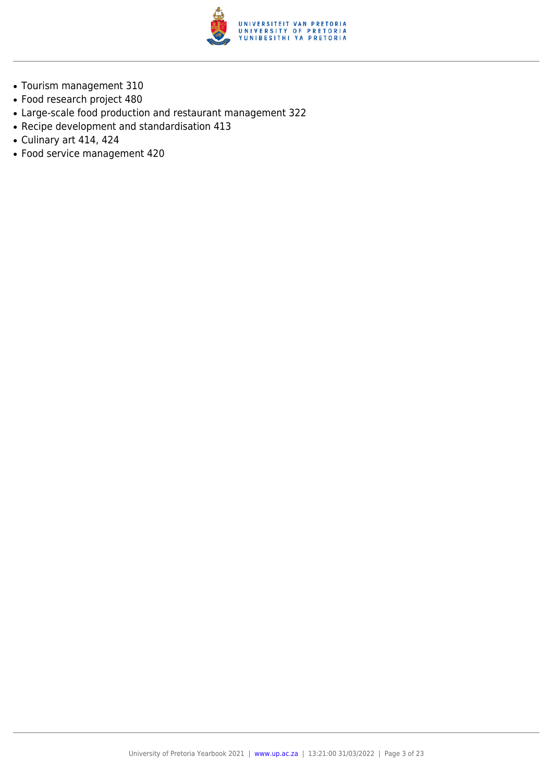

- Tourism management 310
- Food research project 480
- Large-scale food production and restaurant management 322
- Recipe development and standardisation 413
- $\bullet$  Culinary art 414, 424
- Food service management 420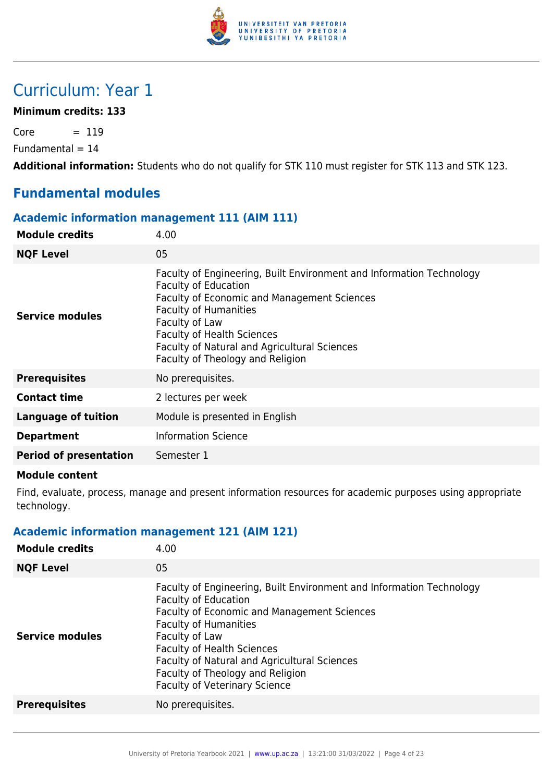

## Curriculum: Year 1

### **Minimum credits: 133**

 $Core = 119$ 

 $Fundamental = 14$ 

**Additional information:** Students who do not qualify for STK 110 must register for STK 113 and STK 123.

## **Fundamental modules**

#### **Academic information management 111 (AIM 111)**

| <b>Module credits</b>         | 4.00                                                                                                                                                                                                                                                                                                                          |
|-------------------------------|-------------------------------------------------------------------------------------------------------------------------------------------------------------------------------------------------------------------------------------------------------------------------------------------------------------------------------|
| <b>NQF Level</b>              | 05                                                                                                                                                                                                                                                                                                                            |
| Service modules               | Faculty of Engineering, Built Environment and Information Technology<br><b>Faculty of Education</b><br>Faculty of Economic and Management Sciences<br><b>Faculty of Humanities</b><br>Faculty of Law<br><b>Faculty of Health Sciences</b><br>Faculty of Natural and Agricultural Sciences<br>Faculty of Theology and Religion |
| <b>Prerequisites</b>          | No prerequisites.                                                                                                                                                                                                                                                                                                             |
| <b>Contact time</b>           | 2 lectures per week                                                                                                                                                                                                                                                                                                           |
| Language of tuition           | Module is presented in English                                                                                                                                                                                                                                                                                                |
| <b>Department</b>             | <b>Information Science</b>                                                                                                                                                                                                                                                                                                    |
| <b>Period of presentation</b> | Semester 1                                                                                                                                                                                                                                                                                                                    |
|                               |                                                                                                                                                                                                                                                                                                                               |

#### **Module content**

Find, evaluate, process, manage and present information resources for academic purposes using appropriate technology.

## **Academic information management 121 (AIM 121)**

| <b>Module credits</b>  | 4.00                                                                                                                                                                                                                                                                                                                                                                         |
|------------------------|------------------------------------------------------------------------------------------------------------------------------------------------------------------------------------------------------------------------------------------------------------------------------------------------------------------------------------------------------------------------------|
| <b>NQF Level</b>       | 05                                                                                                                                                                                                                                                                                                                                                                           |
| <b>Service modules</b> | Faculty of Engineering, Built Environment and Information Technology<br><b>Faculty of Education</b><br><b>Faculty of Economic and Management Sciences</b><br><b>Faculty of Humanities</b><br>Faculty of Law<br><b>Faculty of Health Sciences</b><br>Faculty of Natural and Agricultural Sciences<br>Faculty of Theology and Religion<br><b>Faculty of Veterinary Science</b> |
| <b>Prerequisites</b>   | No prerequisites.                                                                                                                                                                                                                                                                                                                                                            |
|                        |                                                                                                                                                                                                                                                                                                                                                                              |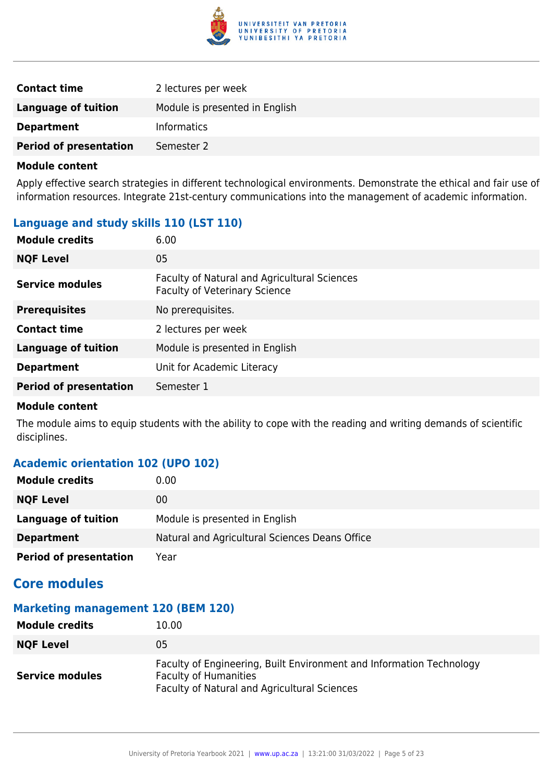

| <b>Contact time</b>           | 2 lectures per week            |
|-------------------------------|--------------------------------|
| Language of tuition           | Module is presented in English |
| <b>Department</b>             | <b>Informatics</b>             |
| <b>Period of presentation</b> | Semester 2                     |

Apply effective search strategies in different technological environments. Demonstrate the ethical and fair use of information resources. Integrate 21st-century communications into the management of academic information.

## **Language and study skills 110 (LST 110)**

| <b>Module credits</b>         | 6.00                                                                                 |
|-------------------------------|--------------------------------------------------------------------------------------|
| <b>NQF Level</b>              | 05                                                                                   |
| <b>Service modules</b>        | Faculty of Natural and Agricultural Sciences<br><b>Faculty of Veterinary Science</b> |
| <b>Prerequisites</b>          | No prerequisites.                                                                    |
| <b>Contact time</b>           | 2 lectures per week                                                                  |
| <b>Language of tuition</b>    | Module is presented in English                                                       |
| <b>Department</b>             | Unit for Academic Literacy                                                           |
| <b>Period of presentation</b> | Semester 1                                                                           |

#### **Module content**

The module aims to equip students with the ability to cope with the reading and writing demands of scientific disciplines.

## **Academic orientation 102 (UPO 102)**

| <b>Module credits</b>         | $0.00\,$                                       |
|-------------------------------|------------------------------------------------|
| <b>NQF Level</b>              | 00                                             |
| Language of tuition           | Module is presented in English                 |
| <b>Department</b>             | Natural and Agricultural Sciences Deans Office |
| <b>Period of presentation</b> | Year                                           |

## **Core modules**

## **Marketing management 120 (BEM 120)**

| <b>Module credits</b>  | 10.00                                                                                                                                                       |
|------------------------|-------------------------------------------------------------------------------------------------------------------------------------------------------------|
| <b>NQF Level</b>       | 05                                                                                                                                                          |
| <b>Service modules</b> | Faculty of Engineering, Built Environment and Information Technology<br><b>Faculty of Humanities</b><br><b>Faculty of Natural and Agricultural Sciences</b> |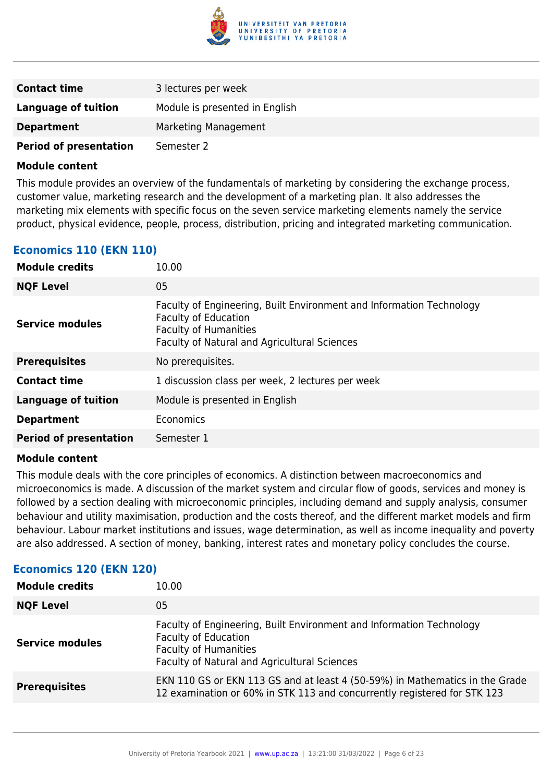

| <b>Contact time</b>           | 3 lectures per week            |
|-------------------------------|--------------------------------|
| <b>Language of tuition</b>    | Module is presented in English |
| <b>Department</b>             | Marketing Management           |
| <b>Period of presentation</b> | Semester 2                     |

This module provides an overview of the fundamentals of marketing by considering the exchange process, customer value, marketing research and the development of a marketing plan. It also addresses the marketing mix elements with specific focus on the seven service marketing elements namely the service product, physical evidence, people, process, distribution, pricing and integrated marketing communication.

## **Economics 110 (EKN 110)**

| <b>Module credits</b>         | 10.00                                                                                                                                                                               |
|-------------------------------|-------------------------------------------------------------------------------------------------------------------------------------------------------------------------------------|
| <b>NQF Level</b>              | 05                                                                                                                                                                                  |
| <b>Service modules</b>        | Faculty of Engineering, Built Environment and Information Technology<br><b>Faculty of Education</b><br><b>Faculty of Humanities</b><br>Faculty of Natural and Agricultural Sciences |
| <b>Prerequisites</b>          | No prerequisites.                                                                                                                                                                   |
| <b>Contact time</b>           | 1 discussion class per week, 2 lectures per week                                                                                                                                    |
| <b>Language of tuition</b>    | Module is presented in English                                                                                                                                                      |
| <b>Department</b>             | Economics                                                                                                                                                                           |
| <b>Period of presentation</b> | Semester 1                                                                                                                                                                          |

#### **Module content**

This module deals with the core principles of economics. A distinction between macroeconomics and microeconomics is made. A discussion of the market system and circular flow of goods, services and money is followed by a section dealing with microeconomic principles, including demand and supply analysis, consumer behaviour and utility maximisation, production and the costs thereof, and the different market models and firm behaviour. Labour market institutions and issues, wage determination, as well as income inequality and poverty are also addressed. A section of money, banking, interest rates and monetary policy concludes the course.

## **Economics 120 (EKN 120)**

| <b>Module credits</b>  | 10.00                                                                                                                                                                               |
|------------------------|-------------------------------------------------------------------------------------------------------------------------------------------------------------------------------------|
| <b>NQF Level</b>       | 05                                                                                                                                                                                  |
| <b>Service modules</b> | Faculty of Engineering, Built Environment and Information Technology<br><b>Faculty of Education</b><br><b>Faculty of Humanities</b><br>Faculty of Natural and Agricultural Sciences |
| <b>Prerequisites</b>   | EKN 110 GS or EKN 113 GS and at least 4 (50-59%) in Mathematics in the Grade<br>12 examination or 60% in STK 113 and concurrently registered for STK 123                            |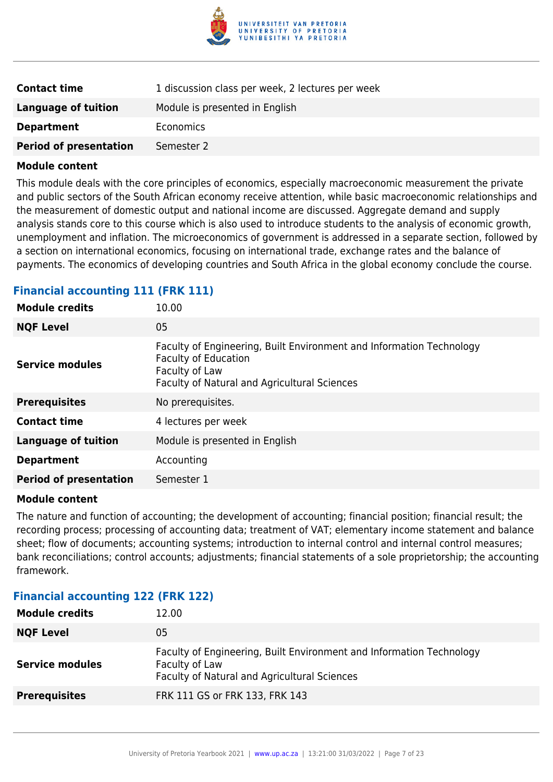

| <b>Contact time</b>           | 1 discussion class per week, 2 lectures per week |
|-------------------------------|--------------------------------------------------|
| Language of tuition           | Module is presented in English                   |
| <b>Department</b>             | Economics                                        |
| <b>Period of presentation</b> | Semester 2                                       |

This module deals with the core principles of economics, especially macroeconomic measurement the private and public sectors of the South African economy receive attention, while basic macroeconomic relationships and the measurement of domestic output and national income are discussed. Aggregate demand and supply analysis stands core to this course which is also used to introduce students to the analysis of economic growth, unemployment and inflation. The microeconomics of government is addressed in a separate section, followed by a section on international economics, focusing on international trade, exchange rates and the balance of payments. The economics of developing countries and South Africa in the global economy conclude the course.

#### **Financial accounting 111 (FRK 111)**

| <b>Module credits</b>         | 10.00                                                                                                                                                                 |
|-------------------------------|-----------------------------------------------------------------------------------------------------------------------------------------------------------------------|
| <b>NQF Level</b>              | 05                                                                                                                                                                    |
| Service modules               | Faculty of Engineering, Built Environment and Information Technology<br><b>Faculty of Education</b><br>Faculty of Law<br>Faculty of Natural and Agricultural Sciences |
| <b>Prerequisites</b>          | No prerequisites.                                                                                                                                                     |
| <b>Contact time</b>           | 4 lectures per week                                                                                                                                                   |
| <b>Language of tuition</b>    | Module is presented in English                                                                                                                                        |
| <b>Department</b>             | Accounting                                                                                                                                                            |
| <b>Period of presentation</b> | Semester 1                                                                                                                                                            |

#### **Module content**

The nature and function of accounting; the development of accounting; financial position; financial result; the recording process; processing of accounting data; treatment of VAT; elementary income statement and balance sheet; flow of documents; accounting systems; introduction to internal control and internal control measures; bank reconciliations; control accounts; adjustments; financial statements of a sole proprietorship; the accounting framework.

#### **Financial accounting 122 (FRK 122)**

| <b>Module credits</b>  | 12.00                                                                                                                                  |
|------------------------|----------------------------------------------------------------------------------------------------------------------------------------|
| <b>NQF Level</b>       | 05                                                                                                                                     |
| <b>Service modules</b> | Faculty of Engineering, Built Environment and Information Technology<br>Faculty of Law<br>Faculty of Natural and Agricultural Sciences |
| <b>Prerequisites</b>   | FRK 111 GS or FRK 133, FRK 143                                                                                                         |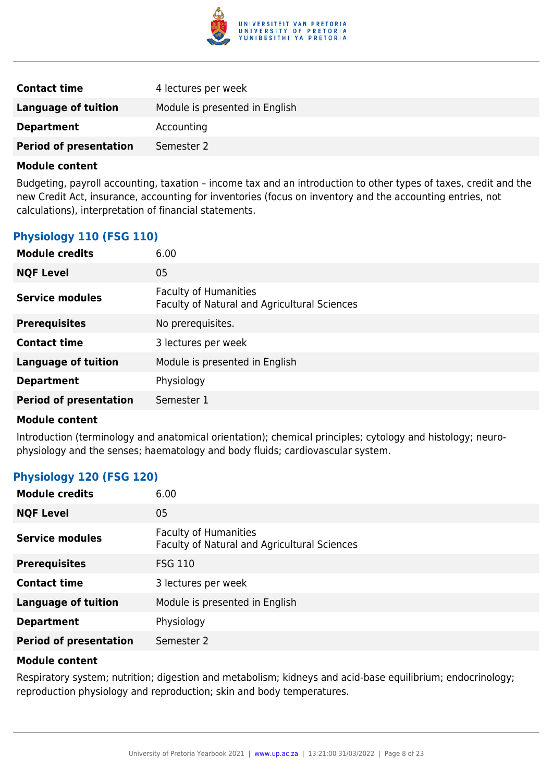

| <b>Contact time</b>           | 4 lectures per week            |
|-------------------------------|--------------------------------|
| Language of tuition           | Module is presented in English |
| <b>Department</b>             | Accounting                     |
| <b>Period of presentation</b> | Semester 2                     |

Budgeting, payroll accounting, taxation – income tax and an introduction to other types of taxes, credit and the new Credit Act, insurance, accounting for inventories (focus on inventory and the accounting entries, not calculations), interpretation of financial statements.

## **Physiology 110 (FSG 110)**

| 6.00                                                                         |
|------------------------------------------------------------------------------|
| 05                                                                           |
| <b>Faculty of Humanities</b><br>Faculty of Natural and Agricultural Sciences |
| No prerequisites.                                                            |
| 3 lectures per week                                                          |
| Module is presented in English                                               |
| Physiology                                                                   |
| Semester 1                                                                   |
|                                                                              |

#### **Module content**

Introduction (terminology and anatomical orientation); chemical principles; cytology and histology; neurophysiology and the senses; haematology and body fluids; cardiovascular system.

## **Physiology 120 (FSG 120)**

| <b>Module credits</b>         | 6.00                                                                         |
|-------------------------------|------------------------------------------------------------------------------|
| <b>NQF Level</b>              | 05                                                                           |
| <b>Service modules</b>        | <b>Faculty of Humanities</b><br>Faculty of Natural and Agricultural Sciences |
| <b>Prerequisites</b>          | <b>FSG 110</b>                                                               |
| <b>Contact time</b>           | 3 lectures per week                                                          |
| <b>Language of tuition</b>    | Module is presented in English                                               |
| <b>Department</b>             | Physiology                                                                   |
| <b>Period of presentation</b> | Semester 2                                                                   |

#### **Module content**

Respiratory system; nutrition; digestion and metabolism; kidneys and acid-base equilibrium; endocrinology; reproduction physiology and reproduction; skin and body temperatures.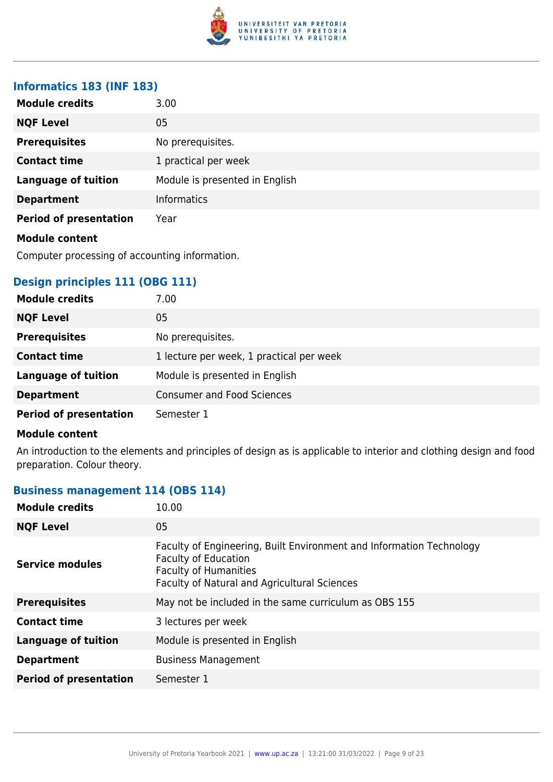

#### **Informatics 183 (INF 183)**

| <b>Module credits</b>         | 3.00                           |
|-------------------------------|--------------------------------|
| <b>NQF Level</b>              | 05                             |
| <b>Prerequisites</b>          | No prerequisites.              |
| <b>Contact time</b>           | 1 practical per week           |
| <b>Language of tuition</b>    | Module is presented in English |
| <b>Department</b>             | <b>Informatics</b>             |
| <b>Period of presentation</b> | Year                           |
| <b>Module content</b>         |                                |

Computer processing of accounting information.

## **Design principles 111 (OBG 111)**

| <b>Module credits</b>         | 7.00                                     |
|-------------------------------|------------------------------------------|
| <b>NQF Level</b>              | 05                                       |
| <b>Prerequisites</b>          | No prerequisites.                        |
| <b>Contact time</b>           | 1 lecture per week, 1 practical per week |
| <b>Language of tuition</b>    | Module is presented in English           |
| <b>Department</b>             | <b>Consumer and Food Sciences</b>        |
| <b>Period of presentation</b> | Semester 1                               |

#### **Module content**

An introduction to the elements and principles of design as is applicable to interior and clothing design and food preparation. Colour theory.

## **Business management 114 (OBS 114)**

| <b>Module credits</b>         | 10.00                                                                                                                                                                               |
|-------------------------------|-------------------------------------------------------------------------------------------------------------------------------------------------------------------------------------|
| <b>NQF Level</b>              | 05                                                                                                                                                                                  |
| <b>Service modules</b>        | Faculty of Engineering, Built Environment and Information Technology<br><b>Faculty of Education</b><br><b>Faculty of Humanities</b><br>Faculty of Natural and Agricultural Sciences |
| <b>Prerequisites</b>          | May not be included in the same curriculum as OBS 155                                                                                                                               |
| <b>Contact time</b>           | 3 lectures per week                                                                                                                                                                 |
| <b>Language of tuition</b>    | Module is presented in English                                                                                                                                                      |
| <b>Department</b>             | <b>Business Management</b>                                                                                                                                                          |
| <b>Period of presentation</b> | Semester 1                                                                                                                                                                          |
|                               |                                                                                                                                                                                     |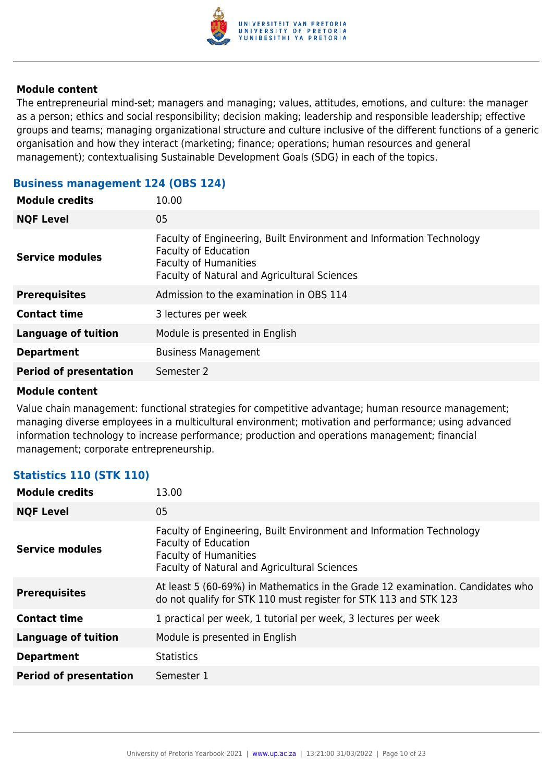

The entrepreneurial mind-set; managers and managing; values, attitudes, emotions, and culture: the manager as a person; ethics and social responsibility; decision making; leadership and responsible leadership; effective groups and teams; managing organizational structure and culture inclusive of the different functions of a generic organisation and how they interact (marketing; finance; operations; human resources and general management); contextualising Sustainable Development Goals (SDG) in each of the topics.

| <b>Module credits</b>         | 10.00                                                                                                                                                                               |
|-------------------------------|-------------------------------------------------------------------------------------------------------------------------------------------------------------------------------------|
| <b>NQF Level</b>              | 05                                                                                                                                                                                  |
| <b>Service modules</b>        | Faculty of Engineering, Built Environment and Information Technology<br><b>Faculty of Education</b><br><b>Faculty of Humanities</b><br>Faculty of Natural and Agricultural Sciences |
| <b>Prerequisites</b>          | Admission to the examination in OBS 114                                                                                                                                             |
| <b>Contact time</b>           | 3 lectures per week                                                                                                                                                                 |
| <b>Language of tuition</b>    | Module is presented in English                                                                                                                                                      |
| <b>Department</b>             | <b>Business Management</b>                                                                                                                                                          |
| <b>Period of presentation</b> | Semester 2                                                                                                                                                                          |
|                               |                                                                                                                                                                                     |

## **Business management 124 (OBS 124)**

### **Module content**

Value chain management: functional strategies for competitive advantage; human resource management; managing diverse employees in a multicultural environment; motivation and performance; using advanced information technology to increase performance; production and operations management; financial management; corporate entrepreneurship.

## **Statistics 110 (STK 110)**

| <b>Module credits</b>         | 13.00                                                                                                                                                                               |
|-------------------------------|-------------------------------------------------------------------------------------------------------------------------------------------------------------------------------------|
| <b>NQF Level</b>              | 05                                                                                                                                                                                  |
| <b>Service modules</b>        | Faculty of Engineering, Built Environment and Information Technology<br><b>Faculty of Education</b><br><b>Faculty of Humanities</b><br>Faculty of Natural and Agricultural Sciences |
| <b>Prerequisites</b>          | At least 5 (60-69%) in Mathematics in the Grade 12 examination. Candidates who<br>do not qualify for STK 110 must register for STK 113 and STK 123                                  |
| <b>Contact time</b>           | 1 practical per week, 1 tutorial per week, 3 lectures per week                                                                                                                      |
| <b>Language of tuition</b>    | Module is presented in English                                                                                                                                                      |
| <b>Department</b>             | <b>Statistics</b>                                                                                                                                                                   |
| <b>Period of presentation</b> | Semester 1                                                                                                                                                                          |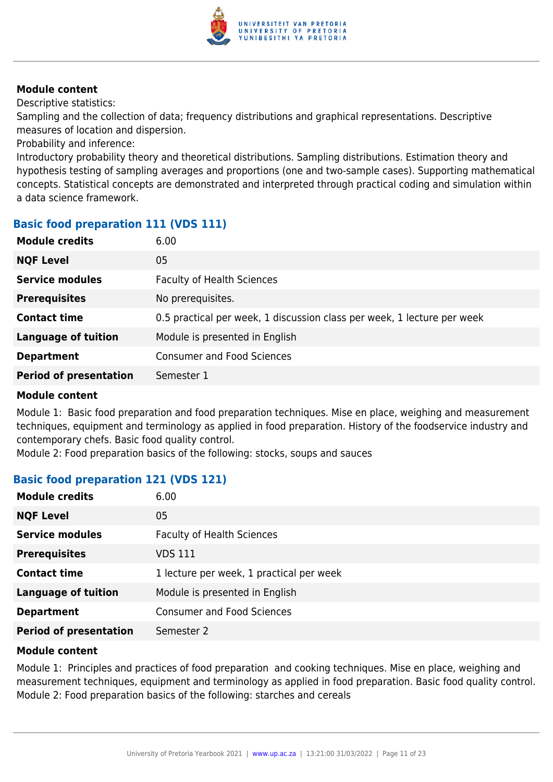

Descriptive statistics:

Sampling and the collection of data; frequency distributions and graphical representations. Descriptive measures of location and dispersion.

Probability and inference:

Introductory probability theory and theoretical distributions. Sampling distributions. Estimation theory and hypothesis testing of sampling averages and proportions (one and two-sample cases). Supporting mathematical concepts. Statistical concepts are demonstrated and interpreted through practical coding and simulation within a data science framework.

## **Basic food preparation 111 (VDS 111)**

| <b>Module credits</b>         | 6.00                                                                    |
|-------------------------------|-------------------------------------------------------------------------|
| <b>NQF Level</b>              | 05                                                                      |
| <b>Service modules</b>        | <b>Faculty of Health Sciences</b>                                       |
| <b>Prerequisites</b>          | No prerequisites.                                                       |
| <b>Contact time</b>           | 0.5 practical per week, 1 discussion class per week, 1 lecture per week |
| <b>Language of tuition</b>    | Module is presented in English                                          |
| <b>Department</b>             | <b>Consumer and Food Sciences</b>                                       |
| <b>Period of presentation</b> | Semester 1                                                              |
|                               |                                                                         |

#### **Module content**

Module 1: Basic food preparation and food preparation techniques. Mise en place, weighing and measurement techniques, equipment and terminology as applied in food preparation. History of the foodservice industry and contemporary chefs. Basic food quality control.

Module 2: Food preparation basics of the following: stocks, soups and sauces

## **Basic food preparation 121 (VDS 121)**

| <b>Module credits</b>         | 6.00                                     |
|-------------------------------|------------------------------------------|
| <b>NQF Level</b>              | 05                                       |
| <b>Service modules</b>        | <b>Faculty of Health Sciences</b>        |
| <b>Prerequisites</b>          | VDS 111                                  |
| <b>Contact time</b>           | 1 lecture per week, 1 practical per week |
| <b>Language of tuition</b>    | Module is presented in English           |
| <b>Department</b>             | <b>Consumer and Food Sciences</b>        |
| <b>Period of presentation</b> | Semester 2                               |

#### **Module content**

Module 1: Principles and practices of food preparation and cooking techniques. Mise en place, weighing and measurement techniques, equipment and terminology as applied in food preparation. Basic food quality control. Module 2: Food preparation basics of the following: starches and cereals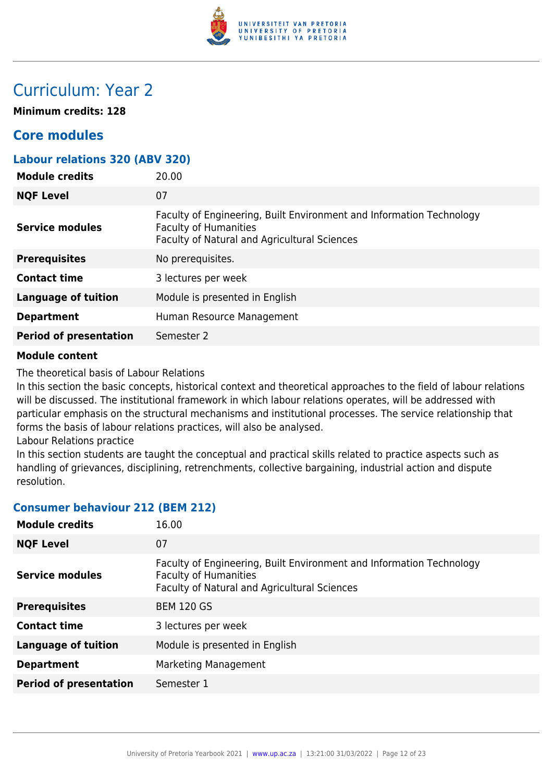

## Curriculum: Year 2

**Minimum credits: 128**

## **Core modules**

| <b>Labour relations 320 (ABV 320)</b> |                                                                                                                                                      |
|---------------------------------------|------------------------------------------------------------------------------------------------------------------------------------------------------|
| <b>Module credits</b>                 | 20.00                                                                                                                                                |
| <b>NQF Level</b>                      | 07                                                                                                                                                   |
| <b>Service modules</b>                | Faculty of Engineering, Built Environment and Information Technology<br><b>Faculty of Humanities</b><br>Faculty of Natural and Agricultural Sciences |
| <b>Prerequisites</b>                  | No prerequisites.                                                                                                                                    |
| <b>Contact time</b>                   | 3 lectures per week                                                                                                                                  |
| <b>Language of tuition</b>            | Module is presented in English                                                                                                                       |
| <b>Department</b>                     | Human Resource Management                                                                                                                            |
| <b>Period of presentation</b>         | Semester 2                                                                                                                                           |
|                                       |                                                                                                                                                      |

#### **Module content**

The theoretical basis of Labour Relations

In this section the basic concepts, historical context and theoretical approaches to the field of labour relations will be discussed. The institutional framework in which labour relations operates, will be addressed with particular emphasis on the structural mechanisms and institutional processes. The service relationship that forms the basis of labour relations practices, will also be analysed.

Labour Relations practice

In this section students are taught the conceptual and practical skills related to practice aspects such as handling of grievances, disciplining, retrenchments, collective bargaining, industrial action and dispute resolution.

## **Consumer behaviour 212 (BEM 212)**

| <b>Module credits</b>         | 16.00                                                                                                                                                |
|-------------------------------|------------------------------------------------------------------------------------------------------------------------------------------------------|
| <b>NQF Level</b>              | 07                                                                                                                                                   |
| <b>Service modules</b>        | Faculty of Engineering, Built Environment and Information Technology<br><b>Faculty of Humanities</b><br>Faculty of Natural and Agricultural Sciences |
| <b>Prerequisites</b>          | <b>BEM 120 GS</b>                                                                                                                                    |
| <b>Contact time</b>           | 3 lectures per week                                                                                                                                  |
| <b>Language of tuition</b>    | Module is presented in English                                                                                                                       |
| <b>Department</b>             | Marketing Management                                                                                                                                 |
| <b>Period of presentation</b> | Semester 1                                                                                                                                           |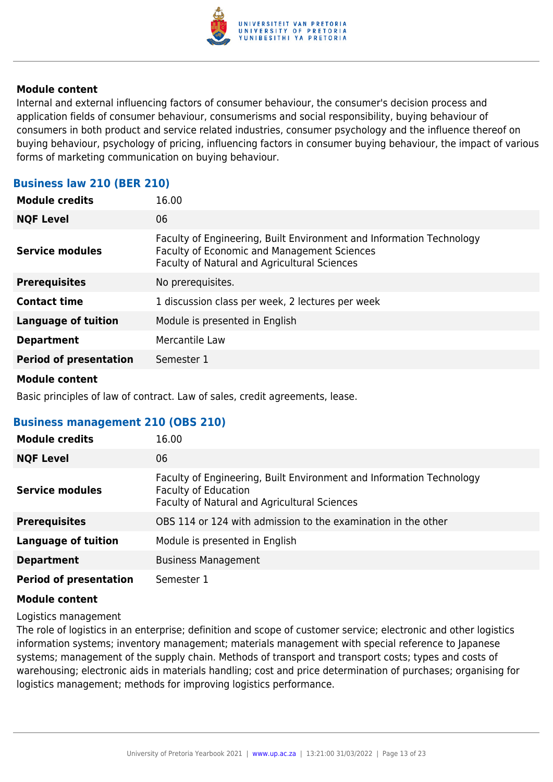

Internal and external influencing factors of consumer behaviour, the consumer's decision process and application fields of consumer behaviour, consumerisms and social responsibility, buying behaviour of consumers in both product and service related industries, consumer psychology and the influence thereof on buying behaviour, psychology of pricing, influencing factors in consumer buying behaviour, the impact of various forms of marketing communication on buying behaviour.

#### **Business law 210 (BER 210)**

| <b>Module credits</b>         | 16.00                                                                                                                                                               |
|-------------------------------|---------------------------------------------------------------------------------------------------------------------------------------------------------------------|
| <b>NQF Level</b>              | 06                                                                                                                                                                  |
| <b>Service modules</b>        | Faculty of Engineering, Built Environment and Information Technology<br>Faculty of Economic and Management Sciences<br>Faculty of Natural and Agricultural Sciences |
| <b>Prerequisites</b>          | No prerequisites.                                                                                                                                                   |
| <b>Contact time</b>           | 1 discussion class per week, 2 lectures per week                                                                                                                    |
| <b>Language of tuition</b>    | Module is presented in English                                                                                                                                      |
| <b>Department</b>             | Mercantile Law                                                                                                                                                      |
| <b>Period of presentation</b> | Semester 1                                                                                                                                                          |
|                               |                                                                                                                                                                     |

#### **Module content**

Basic principles of law of contract. Law of sales, credit agreements, lease.

## **Business management 210 (OBS 210)**

| <b>Module credits</b>         | 16.00                                                                                                                                                      |
|-------------------------------|------------------------------------------------------------------------------------------------------------------------------------------------------------|
| <b>NQF Level</b>              | 06                                                                                                                                                         |
| <b>Service modules</b>        | Faculty of Engineering, Built Environment and Information Technology<br><b>Faculty of Education</b><br><b>Faculty of Natural and Agricultural Sciences</b> |
| <b>Prerequisites</b>          | OBS 114 or 124 with admission to the examination in the other                                                                                              |
| <b>Language of tuition</b>    | Module is presented in English                                                                                                                             |
| <b>Department</b>             | <b>Business Management</b>                                                                                                                                 |
| <b>Period of presentation</b> | Semester 1                                                                                                                                                 |

#### **Module content**

Logistics management

The role of logistics in an enterprise; definition and scope of customer service; electronic and other logistics information systems; inventory management; materials management with special reference to Japanese systems; management of the supply chain. Methods of transport and transport costs; types and costs of warehousing; electronic aids in materials handling; cost and price determination of purchases; organising for logistics management; methods for improving logistics performance.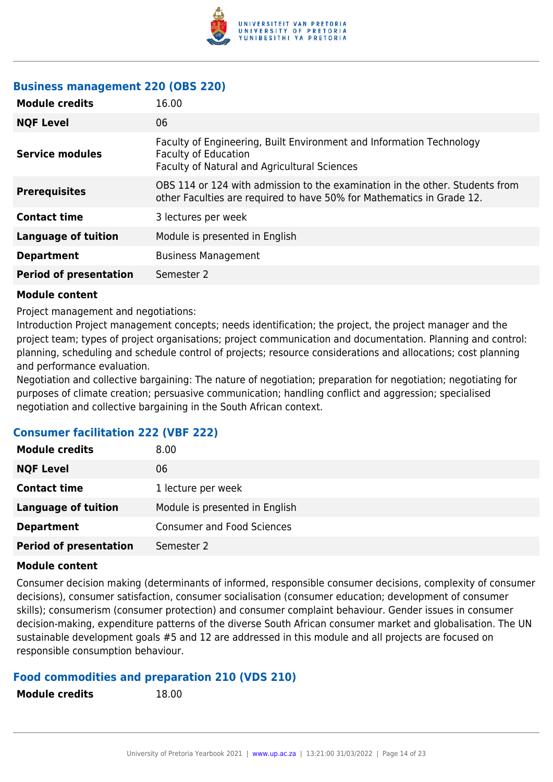

## **Business management 220 (OBS 220)**

| <b>Module credits</b>         | 16.00                                                                                                                                                 |
|-------------------------------|-------------------------------------------------------------------------------------------------------------------------------------------------------|
| <b>NQF Level</b>              | 06                                                                                                                                                    |
| <b>Service modules</b>        | Faculty of Engineering, Built Environment and Information Technology<br><b>Faculty of Education</b><br>Faculty of Natural and Agricultural Sciences   |
| <b>Prerequisites</b>          | OBS 114 or 124 with admission to the examination in the other. Students from<br>other Faculties are required to have 50% for Mathematics in Grade 12. |
| <b>Contact time</b>           | 3 lectures per week                                                                                                                                   |
| <b>Language of tuition</b>    | Module is presented in English                                                                                                                        |
| <b>Department</b>             | <b>Business Management</b>                                                                                                                            |
| <b>Period of presentation</b> | Semester 2                                                                                                                                            |

#### **Module content**

Project management and negotiations:

Introduction Project management concepts; needs identification; the project, the project manager and the project team; types of project organisations; project communication and documentation. Planning and control: planning, scheduling and schedule control of projects; resource considerations and allocations; cost planning and performance evaluation.

Negotiation and collective bargaining: The nature of negotiation; preparation for negotiation; negotiating for purposes of climate creation; persuasive communication; handling conflict and aggression; specialised negotiation and collective bargaining in the South African context.

## **Consumer facilitation 222 (VBF 222)**

| <b>Module credits</b>         | 8.00                              |
|-------------------------------|-----------------------------------|
| <b>NQF Level</b>              | 06                                |
| <b>Contact time</b>           | 1 lecture per week                |
| <b>Language of tuition</b>    | Module is presented in English    |
| <b>Department</b>             | <b>Consumer and Food Sciences</b> |
| <b>Period of presentation</b> | Semester 2                        |

#### **Module content**

Consumer decision making (determinants of informed, responsible consumer decisions, complexity of consumer decisions), consumer satisfaction, consumer socialisation (consumer education; development of consumer skills); consumerism (consumer protection) and consumer complaint behaviour. Gender issues in consumer decision-making, expenditure patterns of the diverse South African consumer market and globalisation. The UN sustainable development goals #5 and 12 are addressed in this module and all projects are focused on responsible consumption behaviour.

## **Food commodities and preparation 210 (VDS 210)**

| <b>Module credits</b> |  |
|-----------------------|--|
|-----------------------|--|

**Module credits** 18.00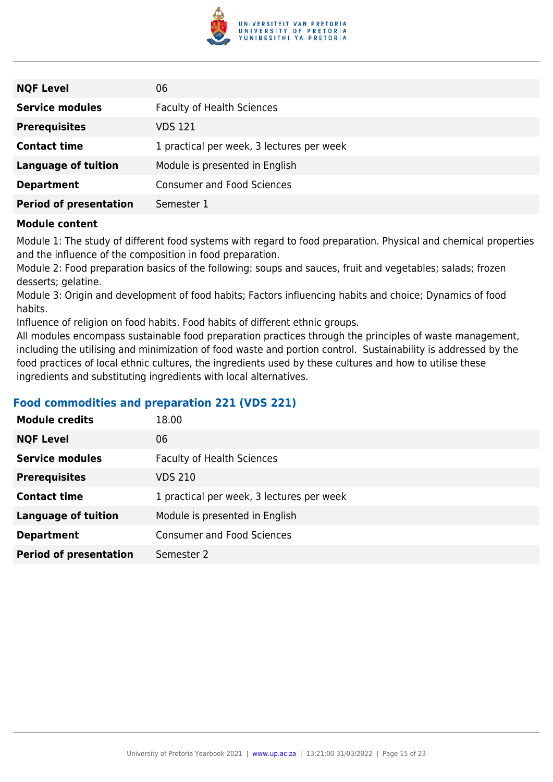

| <b>NQF Level</b>              | 06                                        |
|-------------------------------|-------------------------------------------|
| <b>Service modules</b>        | <b>Faculty of Health Sciences</b>         |
| <b>Prerequisites</b>          | VDS 121                                   |
| <b>Contact time</b>           | 1 practical per week, 3 lectures per week |
| <b>Language of tuition</b>    | Module is presented in English            |
| <b>Department</b>             | <b>Consumer and Food Sciences</b>         |
| <b>Period of presentation</b> | Semester 1                                |

Module 1: The study of different food systems with regard to food preparation. Physical and chemical properties and the influence of the composition in food preparation.

Module 2: Food preparation basics of the following: soups and sauces, fruit and vegetables; salads; frozen desserts; gelatine.

Module 3: Origin and development of food habits; Factors influencing habits and choice; Dynamics of food habits.

Influence of religion on food habits. Food habits of different ethnic groups.

All modules encompass sustainable food preparation practices through the principles of waste management, including the utilising and minimization of food waste and portion control. Sustainability is addressed by the food practices of local ethnic cultures, the ingredients used by these cultures and how to utilise these ingredients and substituting ingredients with local alternatives.

#### **Food commodities and preparation 221 (VDS 221)**

| <b>Module credits</b>         | 18.00                                     |
|-------------------------------|-------------------------------------------|
| <b>NQF Level</b>              | 06                                        |
| <b>Service modules</b>        | <b>Faculty of Health Sciences</b>         |
| <b>Prerequisites</b>          | <b>VDS 210</b>                            |
| <b>Contact time</b>           | 1 practical per week, 3 lectures per week |
| <b>Language of tuition</b>    | Module is presented in English            |
| <b>Department</b>             | <b>Consumer and Food Sciences</b>         |
| <b>Period of presentation</b> | Semester 2                                |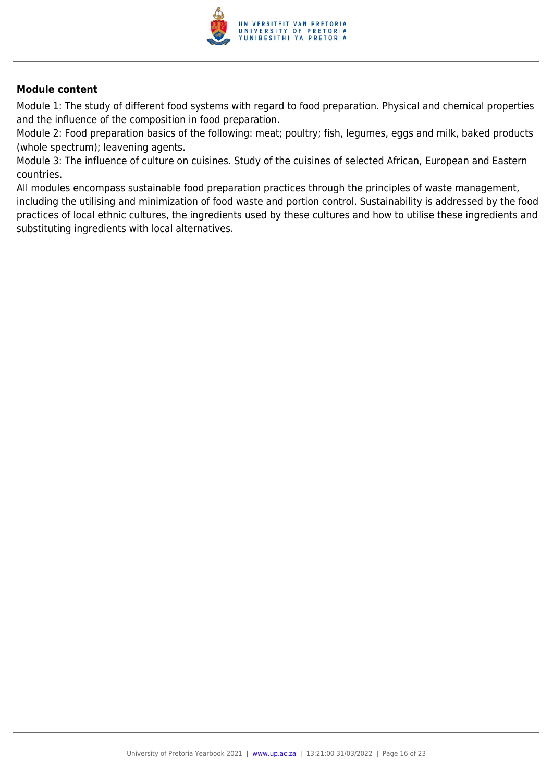

Module 1: The study of different food systems with regard to food preparation. Physical and chemical properties and the influence of the composition in food preparation.

Module 2: Food preparation basics of the following: meat; poultry; fish, legumes, eggs and milk, baked products (whole spectrum); leavening agents.

Module 3: The influence of culture on cuisines. Study of the cuisines of selected African, European and Eastern countries.

All modules encompass sustainable food preparation practices through the principles of waste management, including the utilising and minimization of food waste and portion control. Sustainability is addressed by the food practices of local ethnic cultures, the ingredients used by these cultures and how to utilise these ingredients and substituting ingredients with local alternatives.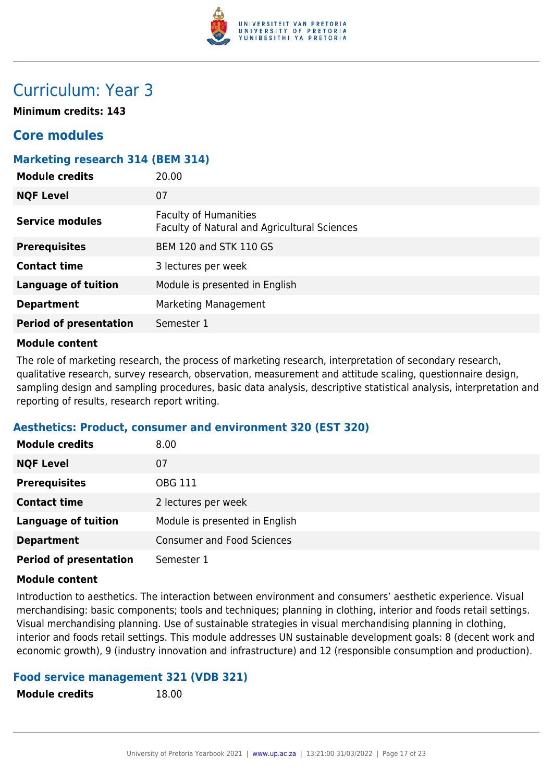

## Curriculum: Year 3

**Minimum credits: 143**

## **Core modules**

#### **Marketing research 314 (BEM 314)**

| <b>Module credits</b>         | 20.00                                                                        |
|-------------------------------|------------------------------------------------------------------------------|
| <b>NQF Level</b>              | 07                                                                           |
| Service modules               | <b>Faculty of Humanities</b><br>Faculty of Natural and Agricultural Sciences |
| <b>Prerequisites</b>          | <b>BEM 120 and STK 110 GS</b>                                                |
| <b>Contact time</b>           | 3 lectures per week                                                          |
| <b>Language of tuition</b>    | Module is presented in English                                               |
| <b>Department</b>             | Marketing Management                                                         |
| <b>Period of presentation</b> | Semester 1                                                                   |

#### **Module content**

The role of marketing research, the process of marketing research, interpretation of secondary research, qualitative research, survey research, observation, measurement and attitude scaling, questionnaire design, sampling design and sampling procedures, basic data analysis, descriptive statistical analysis, interpretation and reporting of results, research report writing.

#### **Aesthetics: Product, consumer and environment 320 (EST 320)**

| <b>Module credits</b>         | 8.00                              |
|-------------------------------|-----------------------------------|
| <b>NQF Level</b>              | 07                                |
| <b>Prerequisites</b>          | OBG 111                           |
| <b>Contact time</b>           | 2 lectures per week               |
| <b>Language of tuition</b>    | Module is presented in English    |
| <b>Department</b>             | <b>Consumer and Food Sciences</b> |
| <b>Period of presentation</b> | Semester 1                        |

#### **Module content**

Introduction to aesthetics. The interaction between environment and consumers' aesthetic experience. Visual merchandising: basic components; tools and techniques; planning in clothing, interior and foods retail settings. Visual merchandising planning. Use of sustainable strategies in visual merchandising planning in clothing, interior and foods retail settings. This module addresses UN sustainable development goals: 8 (decent work and economic growth), 9 (industry innovation and infrastructure) and 12 (responsible consumption and production).

#### **Food service management 321 (VDB 321)**

**Module credits** 18.00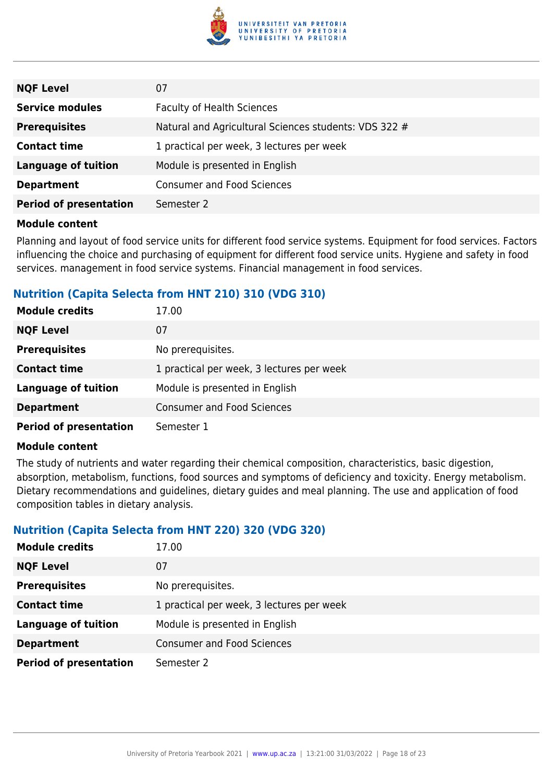

| <b>NQF Level</b>              | 07                                                    |
|-------------------------------|-------------------------------------------------------|
| <b>Service modules</b>        | <b>Faculty of Health Sciences</b>                     |
| <b>Prerequisites</b>          | Natural and Agricultural Sciences students: VDS 322 # |
| <b>Contact time</b>           | 1 practical per week, 3 lectures per week             |
| <b>Language of tuition</b>    | Module is presented in English                        |
| <b>Department</b>             | <b>Consumer and Food Sciences</b>                     |
| <b>Period of presentation</b> | Semester 2                                            |

Planning and layout of food service units for different food service systems. Equipment for food services. Factors influencing the choice and purchasing of equipment for different food service units. Hygiene and safety in food services. management in food service systems. Financial management in food services.

## **Nutrition (Capita Selecta from HNT 210) 310 (VDG 310)**

| <b>Module credits</b>         | 17.00                                     |
|-------------------------------|-------------------------------------------|
| <b>NQF Level</b>              | 07                                        |
| <b>Prerequisites</b>          | No prerequisites.                         |
| <b>Contact time</b>           | 1 practical per week, 3 lectures per week |
| <b>Language of tuition</b>    | Module is presented in English            |
| <b>Department</b>             | <b>Consumer and Food Sciences</b>         |
| <b>Period of presentation</b> | Semester 1                                |

#### **Module content**

The study of nutrients and water regarding their chemical composition, characteristics, basic digestion, absorption, metabolism, functions, food sources and symptoms of deficiency and toxicity. Energy metabolism. Dietary recommendations and guidelines, dietary guides and meal planning. The use and application of food composition tables in dietary analysis.

#### **Nutrition (Capita Selecta from HNT 220) 320 (VDG 320)**

| <b>Module credits</b>         | 17.00                                     |
|-------------------------------|-------------------------------------------|
| <b>NQF Level</b>              | 07                                        |
| <b>Prerequisites</b>          | No prerequisites.                         |
| <b>Contact time</b>           | 1 practical per week, 3 lectures per week |
| <b>Language of tuition</b>    | Module is presented in English            |
| <b>Department</b>             | <b>Consumer and Food Sciences</b>         |
| <b>Period of presentation</b> | Semester 2                                |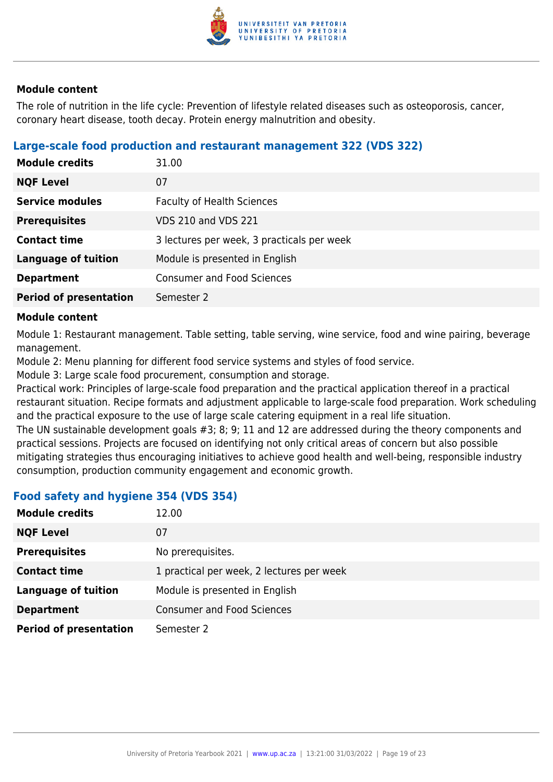

The role of nutrition in the life cycle: Prevention of lifestyle related diseases such as osteoporosis, cancer, coronary heart disease, tooth decay. Protein energy malnutrition and obesity.

#### **Large-scale food production and restaurant management 322 (VDS 322)**

| <b>Module credits</b>         | 31.00                                      |
|-------------------------------|--------------------------------------------|
| <b>NQF Level</b>              | 07                                         |
| <b>Service modules</b>        | <b>Faculty of Health Sciences</b>          |
| <b>Prerequisites</b>          | <b>VDS 210 and VDS 221</b>                 |
| <b>Contact time</b>           | 3 lectures per week, 3 practicals per week |
| <b>Language of tuition</b>    | Module is presented in English             |
| <b>Department</b>             | <b>Consumer and Food Sciences</b>          |
| <b>Period of presentation</b> | Semester 2                                 |

#### **Module content**

Module 1: Restaurant management. Table setting, table serving, wine service, food and wine pairing, beverage management.

Module 2: Menu planning for different food service systems and styles of food service.

Module 3: Large scale food procurement, consumption and storage.

Practical work: Principles of large-scale food preparation and the practical application thereof in a practical restaurant situation. Recipe formats and adjustment applicable to large-scale food preparation. Work scheduling and the practical exposure to the use of large scale catering equipment in a real life situation.

The UN sustainable development goals #3; 8; 9; 11 and 12 are addressed during the theory components and practical sessions. Projects are focused on identifying not only critical areas of concern but also possible mitigating strategies thus encouraging initiatives to achieve good health and well-being, responsible industry consumption, production community engagement and economic growth.

## **Food safety and hygiene 354 (VDS 354)**

| <b>Module credits</b>         | 12.00                                     |
|-------------------------------|-------------------------------------------|
| <b>NQF Level</b>              | 07                                        |
| <b>Prerequisites</b>          | No prerequisites.                         |
| <b>Contact time</b>           | 1 practical per week, 2 lectures per week |
| <b>Language of tuition</b>    | Module is presented in English            |
| <b>Department</b>             | <b>Consumer and Food Sciences</b>         |
| <b>Period of presentation</b> | Semester 2                                |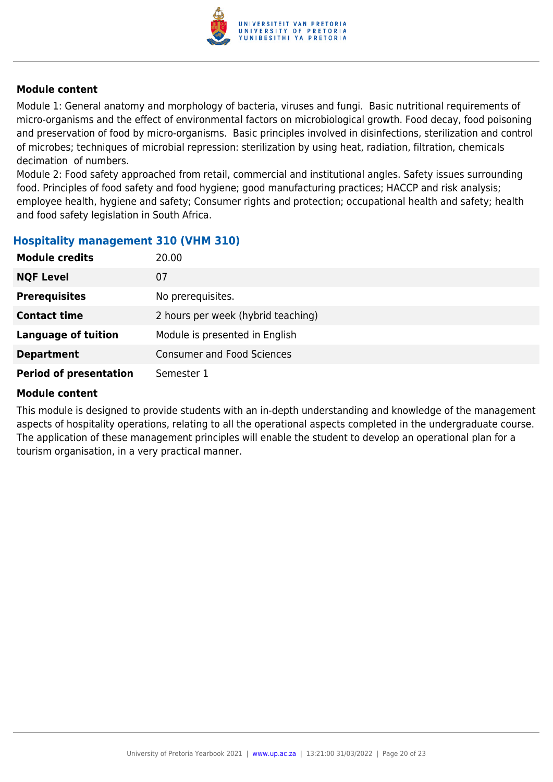

Module 1: General anatomy and morphology of bacteria, viruses and fungi. Basic nutritional requirements of micro-organisms and the effect of environmental factors on microbiological growth. Food decay, food poisoning and preservation of food by micro-organisms. Basic principles involved in disinfections, sterilization and control of microbes; techniques of microbial repression: sterilization by using heat, radiation, filtration, chemicals decimation of numbers.

Module 2: Food safety approached from retail, commercial and institutional angles. Safety issues surrounding food. Principles of food safety and food hygiene; good manufacturing practices; HACCP and risk analysis; employee health, hygiene and safety; Consumer rights and protection; occupational health and safety; health and food safety legislation in South Africa.

#### **Hospitality management 310 (VHM 310)**

| <b>Module credits</b>         | 20.00                              |
|-------------------------------|------------------------------------|
| <b>NQF Level</b>              | 07                                 |
| <b>Prerequisites</b>          | No prerequisites.                  |
| <b>Contact time</b>           | 2 hours per week (hybrid teaching) |
| <b>Language of tuition</b>    | Module is presented in English     |
| <b>Department</b>             | <b>Consumer and Food Sciences</b>  |
| <b>Period of presentation</b> | Semester 1                         |

#### **Module content**

This module is designed to provide students with an in-depth understanding and knowledge of the management aspects of hospitality operations, relating to all the operational aspects completed in the undergraduate course. The application of these management principles will enable the student to develop an operational plan for a tourism organisation, in a very practical manner.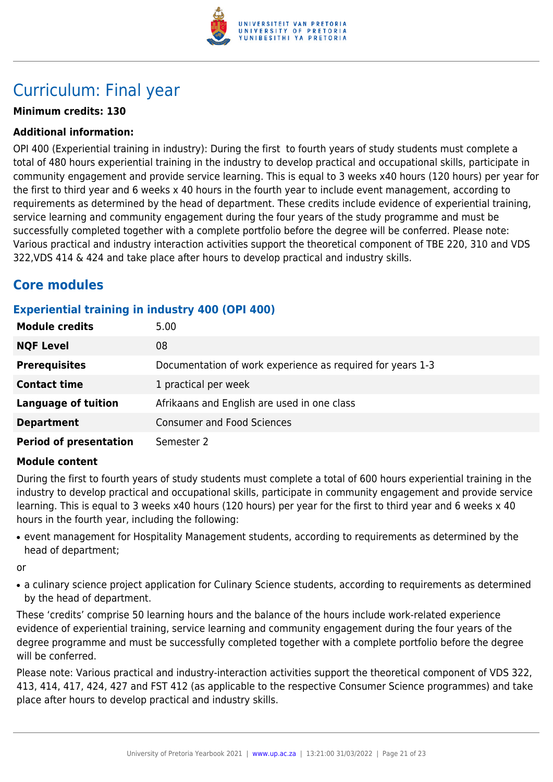

## Curriculum: Final year

## **Minimum credits: 130**

#### **Additional information:**

OPI 400 (Experiential training in industry): During the first to fourth years of study students must complete a total of 480 hours experiential training in the industry to develop practical and occupational skills, participate in community engagement and provide service learning. This is equal to 3 weeks x40 hours (120 hours) per year for the first to third year and 6 weeks x 40 hours in the fourth year to include event management, according to requirements as determined by the head of department. These credits include evidence of experiential training, service learning and community engagement during the four years of the study programme and must be successfully completed together with a complete portfolio before the degree will be conferred. Please note: Various practical and industry interaction activities support the theoretical component of TBE 220, 310 and VDS 322,VDS 414 & 424 and take place after hours to develop practical and industry skills.

## **Core modules**

## **Experiential training in industry 400 (OPI 400)**

| <b>Module credits</b>         | 5.00                                                       |
|-------------------------------|------------------------------------------------------------|
| <b>NQF Level</b>              | 08                                                         |
| <b>Prerequisites</b>          | Documentation of work experience as required for years 1-3 |
| <b>Contact time</b>           | 1 practical per week                                       |
| <b>Language of tuition</b>    | Afrikaans and English are used in one class                |
| <b>Department</b>             | <b>Consumer and Food Sciences</b>                          |
| <b>Period of presentation</b> | Semester 2                                                 |

#### **Module content**

During the first to fourth years of study students must complete a total of 600 hours experiential training in the industry to develop practical and occupational skills, participate in community engagement and provide service learning. This is equal to 3 weeks x40 hours (120 hours) per year for the first to third year and 6 weeks x 40 hours in the fourth year, including the following:

• event management for Hospitality Management students, according to requirements as determined by the head of department;

or

• a culinary science project application for Culinary Science students, according to requirements as determined by the head of department.

These 'credits' comprise 50 learning hours and the balance of the hours include work-related experience evidence of experiential training, service learning and community engagement during the four years of the degree programme and must be successfully completed together with a complete portfolio before the degree will be conferred.

Please note: Various practical and industry-interaction activities support the theoretical component of VDS 322, 413, 414, 417, 424, 427 and FST 412 (as applicable to the respective Consumer Science programmes) and take place after hours to develop practical and industry skills.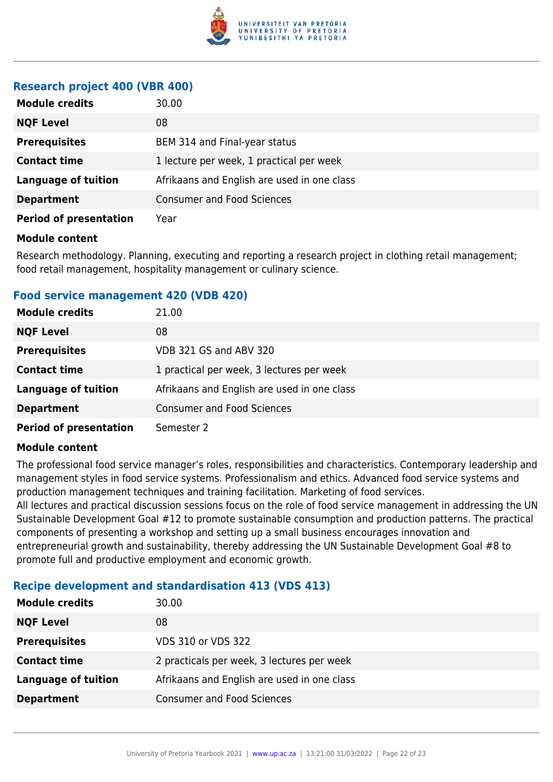

#### **Research project 400 (VBR 400)**

| <b>Module credits</b>         | 30.00                                       |
|-------------------------------|---------------------------------------------|
| <b>NQF Level</b>              | 08                                          |
| <b>Prerequisites</b>          | BEM 314 and Final-year status               |
| <b>Contact time</b>           | 1 lecture per week, 1 practical per week    |
| <b>Language of tuition</b>    | Afrikaans and English are used in one class |
| <b>Department</b>             | <b>Consumer and Food Sciences</b>           |
| <b>Period of presentation</b> | Year                                        |

#### **Module content**

Research methodology. Planning, executing and reporting a research project in clothing retail management; food retail management, hospitality management or culinary science.

#### **Food service management 420 (VDB 420)**

| <b>Module credits</b>         | 21.00                                       |
|-------------------------------|---------------------------------------------|
| <b>NQF Level</b>              | 08                                          |
| <b>Prerequisites</b>          | VDB 321 GS and ABV 320                      |
| <b>Contact time</b>           | 1 practical per week, 3 lectures per week   |
| <b>Language of tuition</b>    | Afrikaans and English are used in one class |
| <b>Department</b>             | <b>Consumer and Food Sciences</b>           |
| <b>Period of presentation</b> | Semester 2                                  |

#### **Module content**

The professional food service manager's roles, responsibilities and characteristics. Contemporary leadership and management styles in food service systems. Professionalism and ethics. Advanced food service systems and production management techniques and training facilitation. Marketing of food services.

All lectures and practical discussion sessions focus on the role of food service management in addressing the UN Sustainable Development Goal #12 to promote sustainable consumption and production patterns. The practical components of presenting a workshop and setting up a small business encourages innovation and entrepreneurial growth and sustainability, thereby addressing the UN Sustainable Development Goal #8 to promote full and productive employment and economic growth.

#### **Recipe development and standardisation 413 (VDS 413)**

| <b>Module credits</b> | 30.00                                       |
|-----------------------|---------------------------------------------|
| <b>NQF Level</b>      | 08                                          |
| <b>Prerequisites</b>  | VDS 310 or VDS 322                          |
| <b>Contact time</b>   | 2 practicals per week, 3 lectures per week  |
| Language of tuition   | Afrikaans and English are used in one class |
| <b>Department</b>     | <b>Consumer and Food Sciences</b>           |